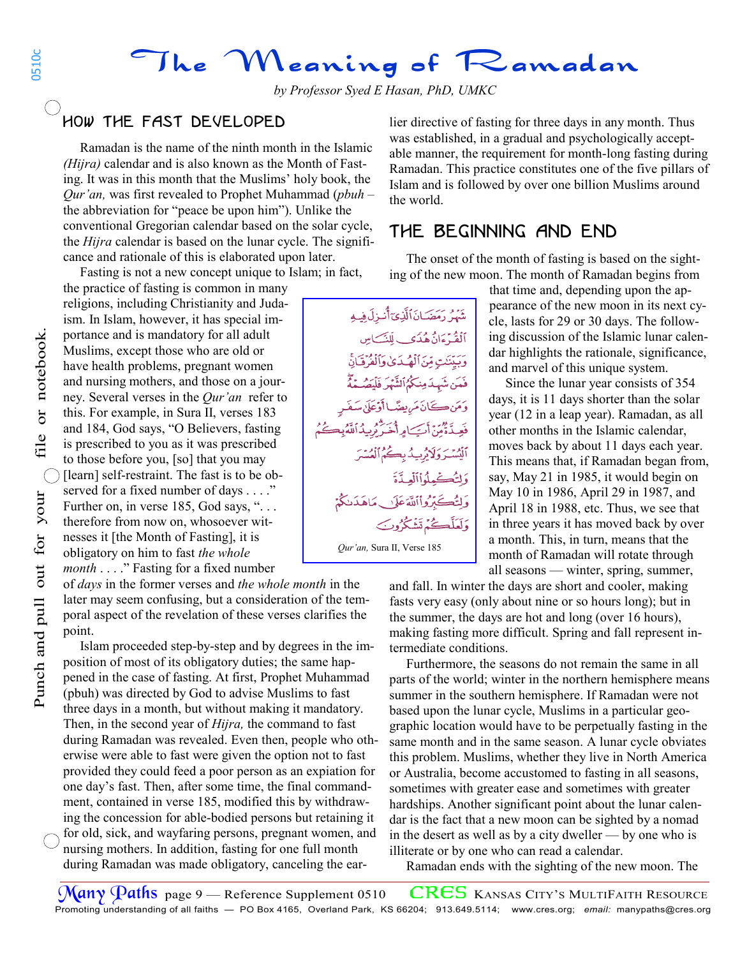The Meaning of Ramadan

## how the fast developed İ,

 Ramadan is the name of the ninth month in the Islamic *(Hijra)* calendar and is also known as the Month of Fasting. It was in this month that the Muslims' holy book, the *Qur'an,* was first revealed to Prophet Muhammad (*pbuh* – the abbreviation for "peace be upon him"). Unlike the conventional Gregorian calendar based on the solar cycle, the *Hijra* calendar is based on the lunar cycle. The significance and rationale of this is elaborated upon later.

Fasting is not a new concept unique to Islam; in fact,

the practice of fasting is common in many religions, including Christianity and Judaism. In Islam, however, it has special importance and is mandatory for all adult Muslims, except those who are old or have health problems, pregnant women and nursing mothers, and those on a journey. Several verses in the *Qur'an* refer to this. For example, in Sura II, verses 183 and 184, God says, "O Believers, fasting is prescribed to you as it was prescribed to those before you, [so] that you may

[learn] self-restraint. The fast is to be observed for a fixed number of days . . . ." Further on, in verse 185, God says, "... therefore from now on, whosoever witnesses it [the Month of Fasting], it is obligatory on him to fast *the whole month* . . . ." Fasting for a fixed number

of *days* in the former verses and *the whole month* in the later may seem confusing, but a consideration of the temporal aspect of the revelation of these verses clarifies the point.

 Islam proceeded step-by-step and by degrees in the imposition of most of its obligatory duties; the same happened in the case of fasting. At first, Prophet Muhammad (pbuh) was directed by God to advise Muslims to fast three days in a month, but without making it mandatory. Then, in the second year of *Hijra,* the command to fast during Ramadan was revealed. Even then, people who otherwise were able to fast were given the option not to fast provided they could feed a poor person as an expiation for one day's fast. Then, after some time, the final commandment, contained in verse 185, modified this by withdrawing the concession for able-bodied persons but retaining it for old, sick, and wayfaring persons, pregnant women, and nursing mothers. In addition, fasting for one full month during Ramadan was made obligatory, canceling the earlier directive of fasting for three days in any month. Thus was established, in a gradual and psychologically acceptable manner, the requirement for month-long fasting during Ramadan. This practice constitutes one of the five pillars of Islam and is followed by over one billion Muslims around the world.

### the beginning and end Ĵ

 The onset of the month of fasting is based on the sighting of the new moon. The month of Ramadan begins from

شَهْرُ دَمَضَـانَ ٱلَّذِيٓ أَنبزلَ فِيهِ أَلْقُهُ ءَانُ هُدَى بِ لَلنَّے مِس وَيَبَنَنْتِ مِّنَ ٱلْمُهْيَدَىٰ وَٱلْفُرُقَيَانَّ فَمَن شَهِدَمِنكُمُٱلشَّهْرَ فَلَعَدُ ے<br>ان *مر*ىھے باأَوْعَلَىٰ سَفَه وَلِتُكْسِيْدُوْاْأَلْعِيدَّةَ ئےتروااللہٓعَلَاں مَاهَدَىٰكُمۡ وَلَعَلَّڪُمۡ تَشۡکُرُوۡکَ *Qur'an,* Sura II, Verse 185 *Qur'an,* Sura II, Verse 185

that time and, depending upon the appearance of the new moon in its next cycle, lasts for 29 or 30 days. The following discussion of the Islamic lunar calendar highlights the rationale, significance, and marvel of this unique system.

 Since the lunar year consists of 354 days, it is 11 days shorter than the solar year (12 in a leap year). Ramadan, as all other months in the Islamic calendar, moves back by about 11 days each year. This means that, if Ramadan began from, say, May 21 in 1985, it would begin on May 10 in 1986, April 29 in 1987, and April 18 in 1988, etc. Thus, we see that in three years it has moved back by over a month. This, in turn, means that the month of Ramadan will rotate through all seasons — winter, spring, summer,

and fall. In winter the days are short and cooler, making fasts very easy (only about nine or so hours long); but in the summer, the days are hot and long (over 16 hours), making fasting more difficult. Spring and fall represent intermediate conditions.

 Furthermore, the seasons do not remain the same in all parts of the world; winter in the northern hemisphere means summer in the southern hemisphere. If Ramadan were not based upon the lunar cycle, Muslims in a particular geographic location would have to be perpetually fasting in the same month and in the same season. A lunar cycle obviates this problem. Muslims, whether they live in North America or Australia, become accustomed to fasting in all seasons, sometimes with greater ease and sometimes with greater hardships. Another significant point about the lunar calendar is the fact that a new moon can be sighted by a nomad in the desert as well as by a city dweller — by one who is illiterate or by one who can read a calendar.

Ramadan ends with the sighting of the new moon. The

0510c